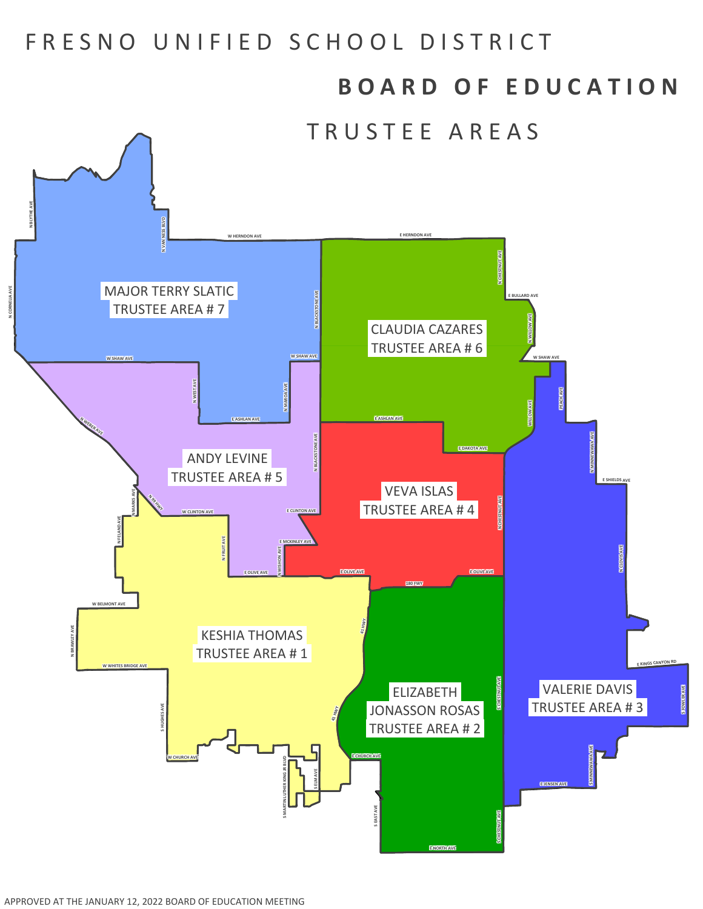## FRESNO UNIFIED SCHOOL DISTRICT

## **B O A R D O F E D U C A T I O N**

TRUSTEE AREAS